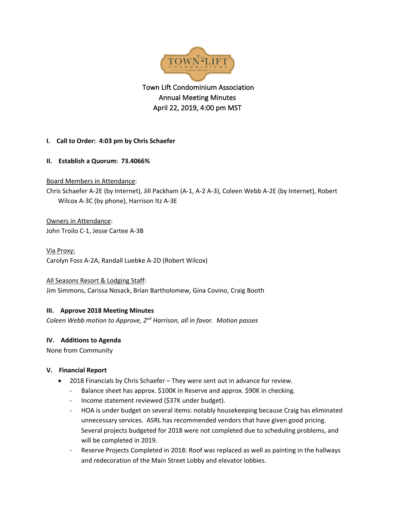

 Town Lift Condominium Association Annual Meeting Minutes April 22, 2019, 4:00 pm MST

- **I. Call to Order: 4:03 pm by Chris Schaefer**
- **II. Establish a Quorum: 73.4066%**

Board Members in Attendance:

Chris Schaefer A-2E (by Internet), Jill Packham (A-1, A-2 A-3), Coleen Webb A-2E (by Internet), Robert Wilcox A-3C (by phone), Harrison Itz A-3E

# Owners in Attendance:

John Troilo C-1, Jesse Cartee A-3B

Via Proxy:

Carolyn Foss A-2A, Randall Luebke A-2D (Robert Wilcox)

All Seasons Resort & Lodging Staff: Jim Simmons, Carissa Nosack, Brian Bartholomew, Gina Covino, Craig Booth

## **III. Approve 2018 Meeting Minutes**

*Coleen Webb motion to Approve, 2nd Harrison, all in favor. Motion passes* 

## **IV. Additions to Agenda**

None from Community

## **V. Financial Report**

- 2018 Financials by Chris Schaefer They were sent out in advance for review.
	- Balance sheet has approx. \$100K in Reserve and approx. \$90K in checking.
	- Income statement reviewed (\$37K under budget).
	- HOA is under budget on several items: notably housekeeping because Craig has eliminated unnecessary services. ASRL has recommended vendors that have given good pricing. Several projects budgeted for 2018 were not completed due to scheduling problems, and will be completed in 2019.
	- Reserve Projects Completed in 2018: Roof was replaced as well as painting in the hallways and redecoration of the Main Street Lobby and elevator lobbies.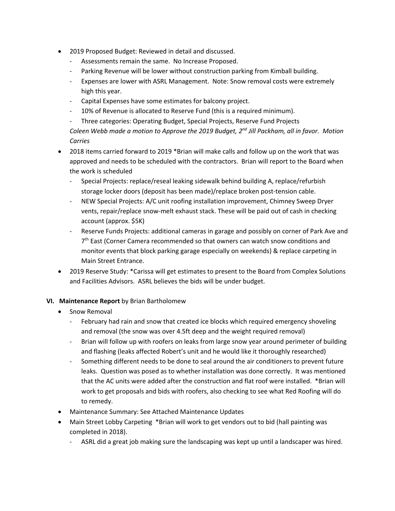- 2019 Proposed Budget: Reviewed in detail and discussed.
	- Assessments remain the same. No Increase Proposed.
	- Parking Revenue will be lower without construction parking from Kimball building.
	- Expenses are lower with ASRL Management. Note: Snow removal costs were extremely high this year.
	- Capital Expenses have some estimates for balcony project.
	- 10% of Revenue is allocated to Reserve Fund (this is a required minimum).

- Three categories: Operating Budget, Special Projects, Reserve Fund Projects *Coleen Webb made a motion to Approve the 2019 Budget, 2nd Jill Packham, all in favor. Motion Carries*

- 2018 items carried forward to 2019 \*Brian will make calls and follow up on the work that was approved and needs to be scheduled with the contractors. Brian will report to the Board when the work is scheduled
	- Special Projects: replace/reseal leaking sidewalk behind building A, replace/refurbish storage locker doors (deposit has been made)/replace broken post-tension cable.
	- NEW Special Projects: A/C unit roofing installation improvement, Chimney Sweep Dryer vents, repair/replace snow-melt exhaust stack. These will be paid out of cash in checking account (approx. \$5K)
	- Reserve Funds Projects: additional cameras in garage and possibly on corner of Park Ave and 7<sup>th</sup> East (Corner Camera recommended so that owners can watch snow conditions and monitor events that block parking garage especially on weekends) & replace carpeting in Main Street Entrance.
- 2019 Reserve Study: \*Carissa will get estimates to present to the Board from Complex Solutions and Facilities Advisors. ASRL believes the bids will be under budget.

### **VI. Maintenance Report** by Brian Bartholomew

- Snow Removal
	- February had rain and snow that created ice blocks which required emergency shoveling and removal (the snow was over 4.5ft deep and the weight required removal)
	- Brian will follow up with roofers on leaks from large snow year around perimeter of building and flashing (leaks affected Robert's unit and he would like it thoroughly researched)
	- Something different needs to be done to seal around the air conditioners to prevent future leaks. Question was posed as to whether installation was done correctly. It was mentioned that the AC units were added after the construction and flat roof were installed. \*Brian will work to get proposals and bids with roofers, also checking to see what Red Roofing will do to remedy.
- Maintenance Summary: See Attached Maintenance Updates
- Main Street Lobby Carpeting \*Brian will work to get vendors out to bid (hall painting was completed in 2018).
	- ASRL did a great job making sure the landscaping was kept up until a landscaper was hired.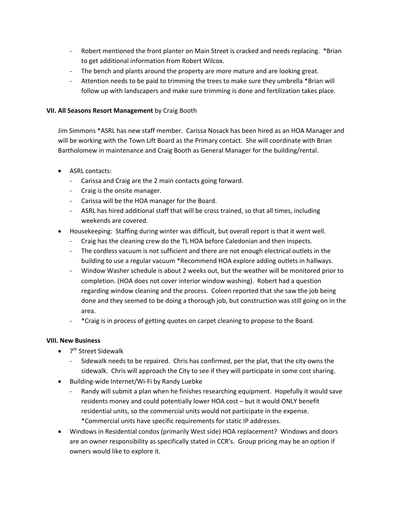- Robert mentioned the front planter on Main Street is cracked and needs replacing. \*Brian to get additional information from Robert Wilcox.
- The bench and plants around the property are more mature and are looking great.
- Attention needs to be paid to trimming the trees to make sure they umbrella \*Brian will follow up with landscapers and make sure trimming is done and fertilization takes place.

#### **VII. All Seasons Resort Management** by Craig Booth

Jim Simmons \*ASRL has new staff member. Carissa Nosack has been hired as an HOA Manager and will be working with the Town Lift Board as the Primary contact. She will coordinate with Brian Bartholomew in maintenance and Craig Booth as General Manager for the building/rental.

- ASRL contacts:
	- Carissa and Craig are the 2 main contacts going forward.
	- Craig is the onsite manager.
	- Carissa will be the HOA manager for the Board.
	- ASRL has hired additional staff that will be cross trained, so that all times, including weekends are covered.
- Housekeeping: Staffing during winter was difficult, but overall report is that it went well.
	- Craig has the cleaning crew do the TL HOA before Caledonian and then inspects.
	- The cordless vacuum is not sufficient and there are not enough electrical outlets in the building to use a regular vacuum \*Recommend HOA explore adding outlets in hallways.
	- Window Washer schedule is about 2 weeks out, but the weather will be monitored prior to completion. (HOA does not cover interior window washing). Robert had a question regarding window cleaning and the process. Coleen reported that she saw the job being done and they seemed to be doing a thorough job, but construction was still going on in the area.
	- \*Craig is in process of getting quotes on carpet cleaning to propose to the Board.

### **VIII. New Business**

- $\bullet$  7<sup>th</sup> Street Sidewalk
	- Sidewalk needs to be repaired. Chris has confirmed, per the plat, that the city owns the sidewalk. Chris will approach the City to see if they will participate in some cost sharing.
- Building-wide Internet/Wi-Fi by Randy Luebke
	- Randy will submit a plan when he finishes researching equipment. Hopefully it would save residents money and could potentially lower HOA cost – but it would ONLY benefit residential units, so the commercial units would not participate in the expense. \*Commercial units have specific requirements for static IP addresses.
- Windows in Residential condos (primarily West side) HOA replacement? Windows and doors are an owner responsibility as specifically stated in CCR's. Group pricing may be an option if owners would like to explore it.